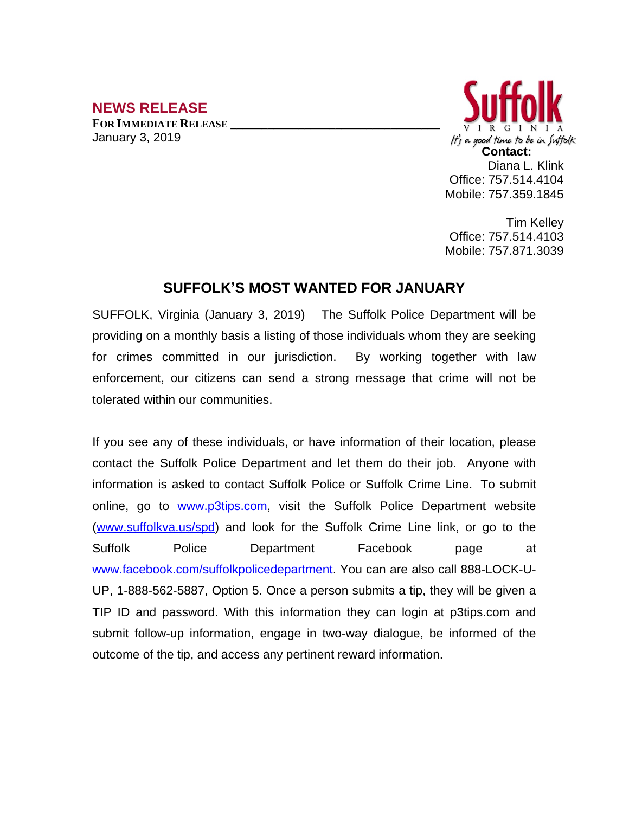## **NEWS RELEASE**

**FOR IMMEDIATE RELEASE \_\_\_\_\_\_\_\_\_\_\_\_\_\_\_\_\_\_\_\_\_\_\_\_\_\_\_\_\_\_\_\_\_\_** January 3, 2019



Tim Kelley Office: 757.514.4103 Mobile: 757.871.3039

## **SUFFOLK'S MOST WANTED FOR JANUARY**

SUFFOLK, Virginia (January 3, 2019) The Suffolk Police Department will be providing on a monthly basis a listing of those individuals whom they are seeking for crimes committed in our jurisdiction. By working together with law enforcement, our citizens can send a strong message that crime will not be tolerated within our communities.

If you see any of these individuals, or have information of their location, please contact the Suffolk Police Department and let them do their job. Anyone with information is asked to contact Suffolk Police or Suffolk Crime Line. To submit online, go to [www.p3tips.com](http://www.p3tips.com), visit the Suffolk Police Department website ([www.suffolkva.us/spd](http://www.suffolkva.us/spd)) and look for the Suffolk Crime Line link, or go to the Suffolk Police Department Facebook page at [www.facebook.com/suffolkpolicedepartment](http://www.facebook.com/suffolkpolicedepartment). You can are also call 888-LOCK-U-UP, 1-888-562-5887, Option 5. Once a person submits a tip, they will be given a TIP ID and password. With this information they can login at p3tips.com and submit follow-up information, engage in two-way dialogue, be informed of the outcome of the tip, and access any pertinent reward information.